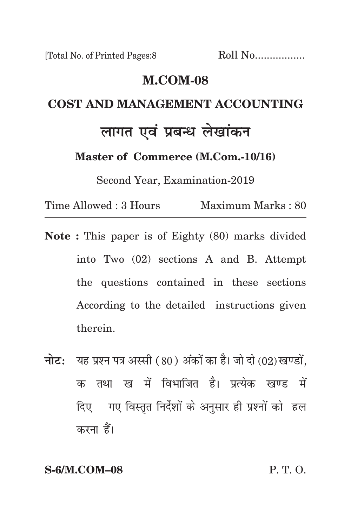#### **m.com-08**

# **cost and management Accounting लागत एवं प्रबन्ध लेखांकन**

**Master of Commerce (M.Com.-10/16)**

Second Year, Examination-2019

Time Allowed : 3 Hours Maximum Marks : 80

- **Note :** This paper is of Eighty (80) marks divided into Two (02) sections A and B. Attempt the questions contained in these sections According to the detailed instructions given therein.
- **नोट:** यह प्रश्न पत्र अस्सी (80) अंकों का है। जो दो (02) खण्डों, क तथा ख में विभाजित है। प्रत्येक खण्ड में दिए गए विस्तृत निर्देशों के अनुसार ही प्रश्नों को हल करना हैं।

**S-6/M.COM–08** P. T. O.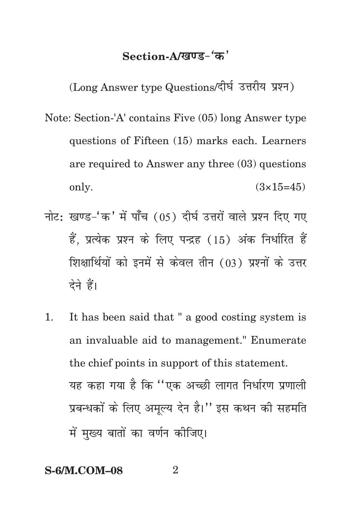## Section-A/<u>खण्ड-</u>'क'

(Long Answer type Questions/दीर्घ उत्तरीय प्रश्न)

- Note: Section-'A' contains Five (05) long Answer type questions of Fifteen (15) marks each. Learners are required to Answer any three (03) questions only.  $(3 \times 15=45)$
- नोट: खण्ड-'क' में पाँच (05) दीर्घ उत्तरों वाले प्रश्न दिए गए हैं. प्रत्येक प्रश्न के लिए पन्द्रह (15) अंक निर्धारित हैं शिक्षार्थियों को इनमें से केवल तीन (03) प्रश्नों के उत्तर देने हैं।
- 1. It has been said that " a good costing system is an invaluable aid to management." Enumerate the chief points in support of this statement. यह कहा गया है कि ''एक अच्छी लागत निर्धारण प्रणाली प्रबन्धकों के लिए अमल्य देन है।'' इस कथन की सहमति में मख्य बातों का वर्णन कीजिए।

#### **S-6/M.COM–08** 2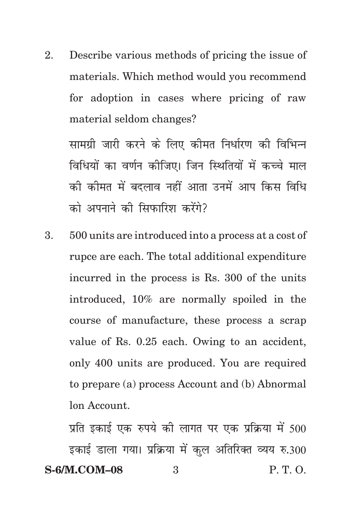2. Describe various methods of pricing the issue of materials. Which method would you recommend for adoption in cases where pricing of raw material seldom changes?

सामग्री जारी करने के लिए कीमत निर्धारण की विभिन्न विधियों का वर्णन कीजिए। जिन स्थितियों में कच्चे माल को कोमत में बदलाव नहीं आता उनमें आप किस विधि को अपनाने की सिफारिश करेंगे?

3. 500 units are introduced into a process at a cost of rupce are each. The total additional expenditure incurred in the process is Rs. 300 of the units introduced, 10% are normally spoiled in the course of manufacture, these process a scrap value of Rs. 0.25 each. Owing to an accident, only 400 units are produced. You are required to prepare (a) process Account and (b) Abnormal lon Account.

**S-6/M.COM–08** 3 P. T. O. प्रति इकाई एक रुपये की लागत पर एक प्रक्रिया में 500 इकाई डाला गया। प्रक्रिया में कुल अतिरिक्त व्यय रु.300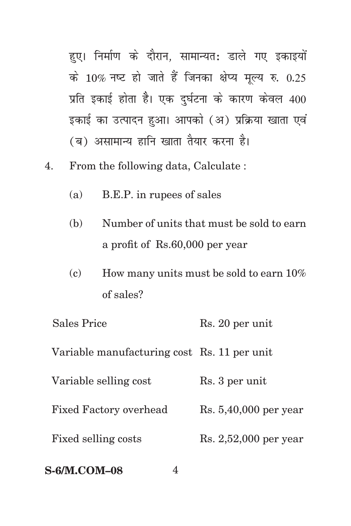हुए। निर्माण के दौरान, सामान्यत: डाले गए इकाइयों के 10% नष्ट हो जाते हैं जिनका क्षेप्य मृल्य रु.  $0.25$ प्रति इकाई होता है। एक दुर्घटना के कारण केवल 400 इकाई का उत्पादन हुआ। आपको (अ) प्रक्रिया खाता एवं (ब) असामान्य हानि खाता तैयार करना है।

- 4. From the following data, Calculate :
	- (a) B.E.P. in rupees of sales
	- (b) Number of units that must be sold to earn a profit of Rs.60,000 per year
	- (c) How many units must be sold to earn  $10\%$ of sales?

| <b>S-6/M.COM-08</b>                         |                         |
|---------------------------------------------|-------------------------|
| Fixed selling costs                         | $Rs. 2,52,000$ per year |
| <b>Fixed Factory overhead</b>               | $Rs. 5,40,000$ per year |
| Variable selling cost                       | Rs. 3 per unit          |
| Variable manufacturing cost Rs. 11 per unit |                         |
| <b>Sales Price</b>                          | Rs. 20 per unit         |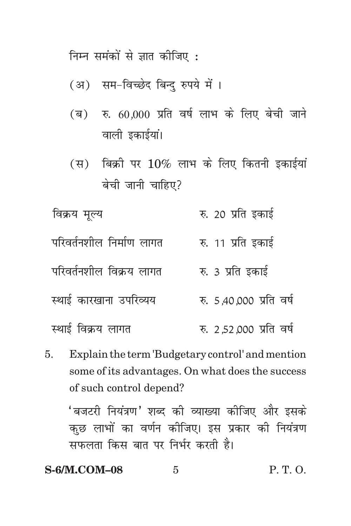निम्न समंकों से ज्ञात कीजिए :

- (अ) सम-विच्छेद बिन्द रुपये में ।
- $(a)$  रु. 60,000 प्रति वर्ष लाभ के लिए बेची जाने वाली इकाईयां।
- $(H)$  बिक्री पर  $10\%$  लाभ के लिए कितनी इकाईयां बेची जानी चाहिए?
- विक्रय मूल्य रु. 20 प्रति इकाई परिवर्तनशील निर्माण लागत रु. 11 प्रति इकाई परिवर्तनशील विक्रय लागत $\qquad \qquad$  क. 3 प्रति इकाई LFkkbZ dkj[kkuk mifjO;; #- 5]40]000 izfr o"kZ <u>स्थाई विक्रय लागत वर्ष हैं: 2.52.000 प्रति वर्ष</u>
- 5. Explain the term 'Budgetary control' and mention some of its advantages. On what does the success of such control depend?

'बजटरी नियंत्रण' शब्द की व्याख्या कीजिए और इसके कुछ लाभों का वर्णन कोजिए। इस प्रकार की नियंत्रण सफलता किस बात पर निर्भर करती है।

**S-6/M.COM–08** 5 P. T. O.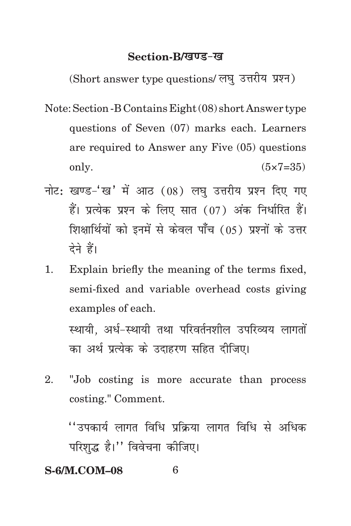#### **Section-B/खण्ड-ख**

(Short answer type questions/ लघु उत्तरीय प्रश्न)

- Note: Section -B Contains Eight (08) short Answer type questions of Seven (07) marks each. Learners are required to Answer any Five (05) questions only.  $(5 \times 7 = 35)$
- नोट: खण्ड-'ख' में आठ (08) लघु उत्तरीय प्रश्न दिए गए हैं। प्रत्येक प्रश्न के लिए सात (07) अंक निर्धारित हैं। शिक्षार्थियों को इनमें से केवल पाँच (05) प्रश्नों के उत्तर देने हैं।
- 1. Explain briefly the meaning of the terms fixed, semi-fixed and variable overhead costs giving examples of each.

स्थायी. अर्ध-स्थायी तथा परिवर्तनशील उपरिव्यय लागतों का अर्थ प्रत्येक के उदाहरण सहित दीजिए।

2. "Job costing is more accurate than process costing." Comment.

 $^{\prime\prime}$ उपकार्य लागत विधि प्रकिया लागत विधि से अधिक परिशद्ध है।" विवेचना कीजिए।

### **S-6/M.COM–08** 6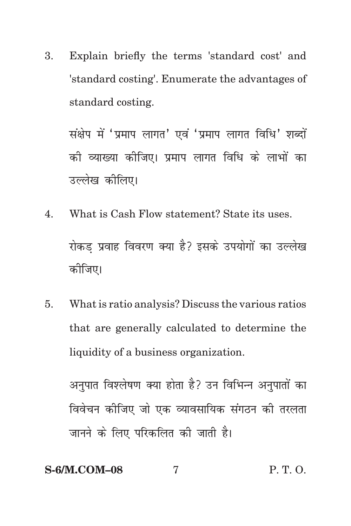3. Explain briefly the terms 'standard cost' and 'standard costing'. Enumerate the advantages of standard costing.

संक्षेप में 'प्रमाप लागत' एवं 'प्रमाप लागत विधि' शब्दों को व्याख्या कोजिए। प्रमाप लागत विधि के लाभों का उल्लेख कीलिए।

- 4. What is Cash Flow statement? State its uses. रोकड प्रवाह विवरण क्या है? इसके उपयोगों का उल्लेख कोजिए।
- 5. What is ratio analysis? Discuss the various ratios that are generally calculated to determine the liquidity of a business organization.

अनुपात विश्लेषण क्या होता है? उन विभिन्न अनुपातों का विवेचन कोजिए जो एक व्यावसायिक संगठन की तरलता जानने के लिए परिकलित की जाती है।